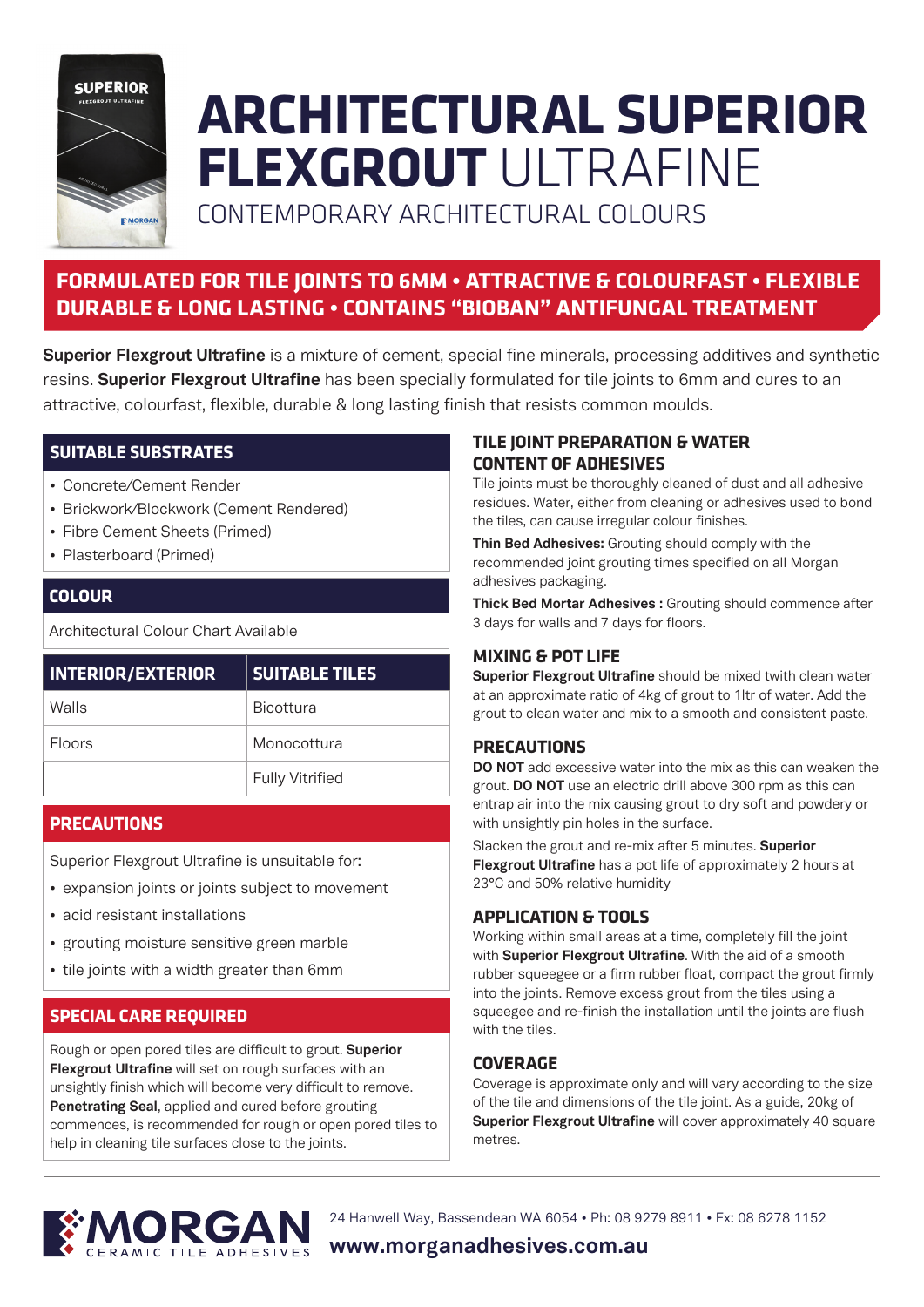

# **ARCHITECTURAL SUPERIOR FLEXGROUT** ULTRAFINE

CONTEMPORARY ARCHITECTURAL COLOURS

## **FORMULATED FOR TILE JOINTS TO 6MM • ATTRACTIVE & COLOURFAST • FLEXIBLE DURABLE & LONG LASTING • CONTAINS "BIOBAN" ANTIFUNGAL TREATMENT**

**Superior Flexgrout Ultrafine** is a mixture of cement, special fine minerals, processing additives and synthetic resins. **Superior Flexgrout Ultrafine** has been specially formulated for tile joints to 6mm and cures to an attractive, colourfast, flexible, durable & long lasting finish that resists common moulds.

## **SUITABLE SUBSTRATES**

- Concrete/Cement Render
- Brickwork/Blockwork (Cement Rendered)
- Fibre Cement Sheets (Primed)
- Plasterboard (Primed)

## **COLOUR**

Architectural Colour Chart Available

| <b>INTERIOR/EXTERIOR</b> | <b>SUITABLE TILES</b>  |
|--------------------------|------------------------|
| Walls                    | <b>Bicottura</b>       |
| <b>Floors</b>            | Monocottura            |
|                          | <b>Fully Vitrified</b> |

## **PRECAUTIONS**

Superior Flexgrout Ultrafine is unsuitable for:

- expansion joints or joints subject to movement
- acid resistant installations
- grouting moisture sensitive green marble
- tile joints with a width greater than 6mm

## **SPECIAL CARE REQUIRED**

Rough or open pored tiles are difficult to grout. **Superior Flexgrout Ultrafine** will set on rough surfaces with an unsightly finish which will become very difficult to remove. **Penetrating Seal**, applied and cured before grouting commences, is recommended for rough or open pored tiles to help in cleaning tile surfaces close to the joints.

## **TILE JOINT PREPARATION & WATER CONTENT OF ADHESIVES**

Tile joints must be thoroughly cleaned of dust and all adhesive residues. Water, either from cleaning or adhesives used to bond the tiles, can cause irregular colour finishes.

**Thin Bed Adhesives:** Grouting should comply with the recommended joint grouting times specified on all Morgan adhesives packaging.

**Thick Bed Mortar Adhesives :** Grouting should commence after 3 days for walls and 7 days for floors.

## **MIXING & POT LIFE**

**Superior Flexgrout Ultrafine** should be mixed twith clean water at an approximate ratio of 4kg of grout to 1ltr of water. Add the grout to clean water and mix to a smooth and consistent paste.

## **PRECAUTIONS**

**DO NOT** add excessive water into the mix as this can weaken the grout. **DO NOT** use an electric drill above 300 rpm as this can entrap air into the mix causing grout to dry soft and powdery or with unsightly pin holes in the surface.

Slacken the grout and re-mix after 5 minutes. **Superior Flexgrout Ultrafine** has a pot life of approximately 2 hours at 23°C and 50% relative humidity

## **APPLICATION & TOOLS**

Working within small areas at a time, completely fill the joint with **Superior Flexgrout Ultrafine**. With the aid of a smooth rubber squeegee or a firm rubber float, compact the grout firmly into the joints. Remove excess grout from the tiles using a squeegee and re-finish the installation until the joints are flush with the tiles.

## **COVERAGE**

Coverage is approximate only and will vary according to the size of the tile and dimensions of the tile joint. As a guide, 20kg of **Superior Flexgrout Ultrafine** will cover approximately 40 square metres.



24 Hanwell Way, Bassendean WA 6054 • Ph: 08 9279 8911 • Fx: 08 6278 1152

## **www.morganadhesives.com.au**